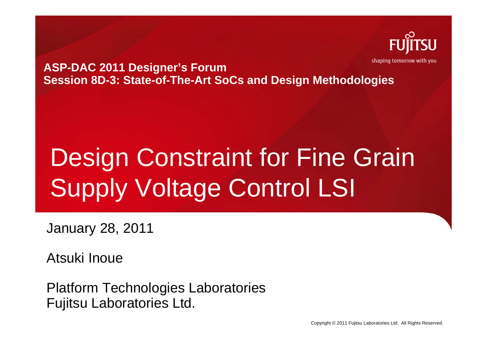

**ASP-DAC 2011 Designer's Forum Session 8D-3: State-of-The-Art SoCs and Design Methodologies**

# Design Constraint for Fine Grain Supply Voltage Control LSI

January 28, 2011

Atsuki Inoue

Platform Technologies Laboratories Fujitsu Laboratories Ltd.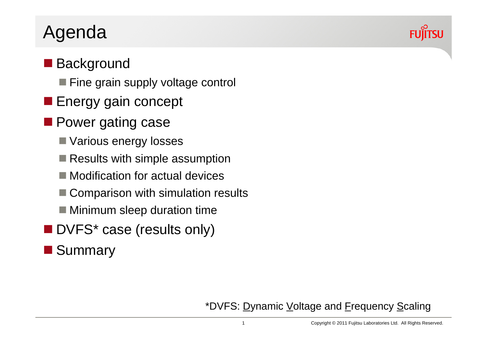#### Agenda

#### ■ Background

- Fine grain supply voltage control
- **Energy gain concept**
- **Power gating case** 
	- Various energy losses
	- Results with simple assumption
	- Modification for actual devices
	- p. Comparison with simulation results
	- Minimum sleep duration time
- **DVFS\*** case (results only)

#### **Summary**



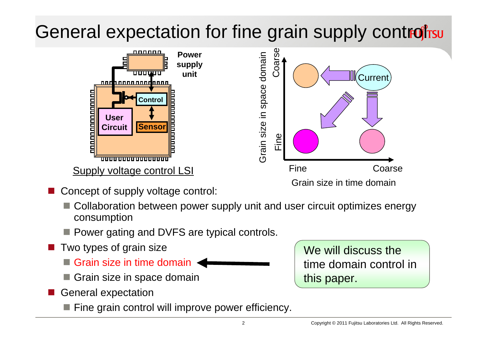## General expectation for fine grain supply control rsum



- Concept of supply voltage control:
	- Collaboration between power supply unit and user circuit optimizes energy consumption
	- **Power gating and DVFS are typical controls.**
- $\overline{\phantom{a}}$  Two types of grain size
	- Grain size in time domain
	- Grain size in space domain
- General expectation
	- **Fine grain control will improve power efficiency.**

We will discuss the time domain control in this paper.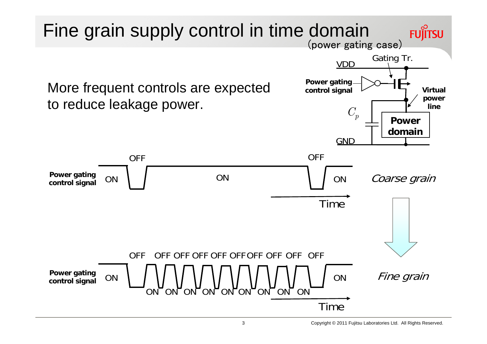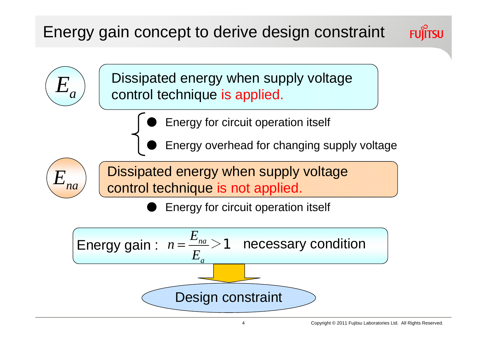#### Energy gain concept to derive design constraint





Dissipated energy when supply voltage control technique is applied.

- ●Energy for circuit operation itself
- ●Energy overhead for changing supply voltage



Dissipated energy when supply voltage control technique is not applied.

●Energy for circuit operation itself

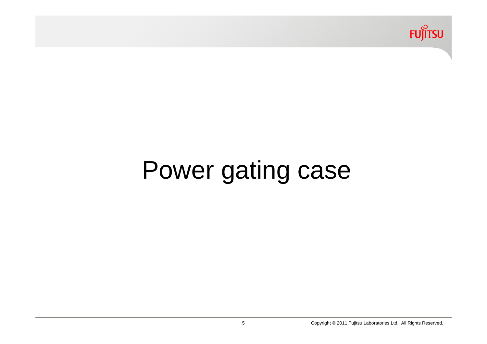

# Power gating case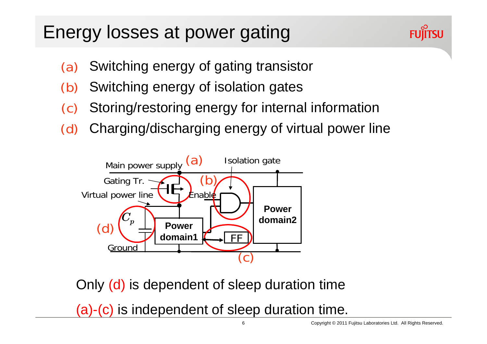#### Energy losses at power gating



- Switching energy of gating transistor (a)
- Switching energy of isolation gates (b)
- Storing/restoring energy for internal information (c)
- Charging/discharging energy of virtual power line (d)



Only (d) is dependent of sleep duration time

(a)-(c) is independent of sleep duration time.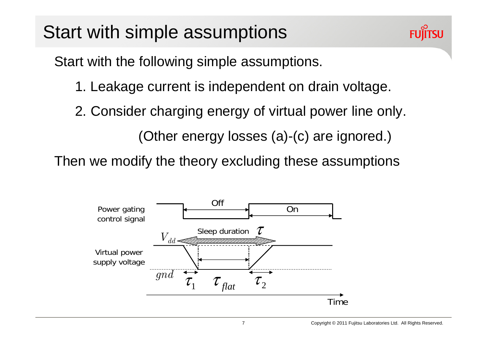

Start with the following simple assumptions.

- 1. Leakage current is independent on drain voltage.
- 2. Consider charging energy of virtual power line only.

(Other energy losses (a)-(c) are ignored.)

Then we modify the theory excluding these assumptions

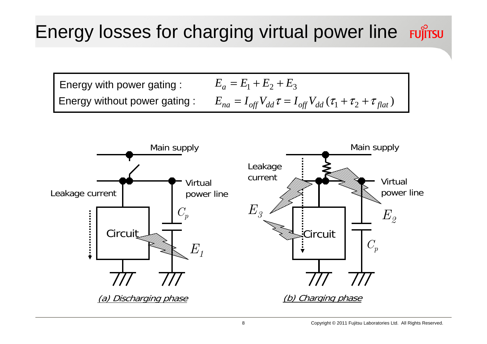$E_a = E_1 + E_2 + E_3$  $E_{na} = I_{off}V_{dd}\tau = I_{off}V_{dd}\left(\tau_1 + \tau_2 + \tau_{flat}\right)$ Energy with power gating : Energy without power gating :

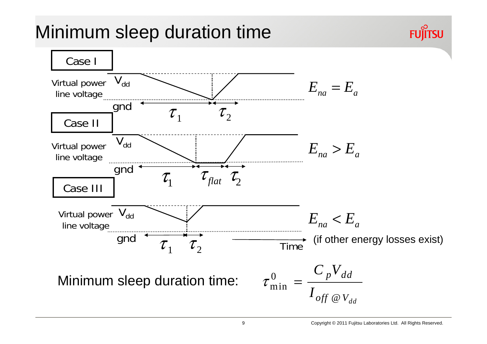#### Minimum sleep duration time

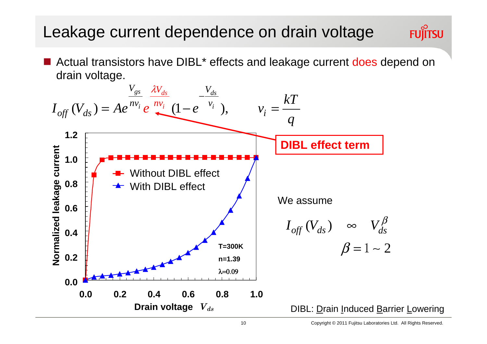#### Leakage current dependence on drain voltage

■ Actual transistors have DIBL<sup>\*</sup> effects and leakage current does depend on drain voltage.

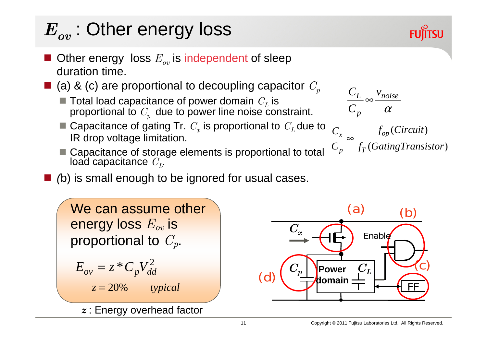$$
E^{}_{ov} : \textbf{Other energy loss}
$$

*Eov*

- $\blacksquare$  Other energy loss  $E_{ov}$  is independent of sleep duration time.
- $\blacksquare$  (a) & (c) are proportional to decoupling capacitor  $C_p$ 
	- $\blacksquare$  Total load capacitance of power domain  $\mathit C_L$  is proportional to  $\mathit{C}_{p}^{\phantom{\dag}}$  due to power line noise constraint.
	- Capacitance of gating Tr.  $C_x$  is proportional to  $C_L$  due to  $C$ IR drop voltage limitation.
	- Capacitance of storage elements is proportional to total load capacitance  $C_L$ . load capacitance  $C_L$ .
- *(*b) is small enough to be ignored for usual cases.

 $E_{ov} = z * C_p V_{dd}^2$ We can assume other energy loss *Eov* is proportional to *Cp*. *z* = 20% *typical z* : Energy overhead factor





 $C_{r}$   $f_{op}(Circuit)$ *L noise p*  $C_{I}$  *v C* α ∞

$$
\frac{C_x}{C_p} \in \frac{f_{op}(\text{Carnosity})}{f_T(\text{GatingTransistor})}
$$

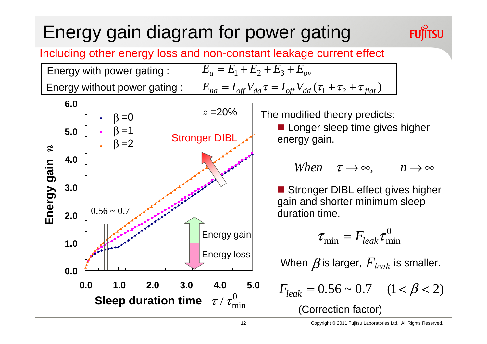### Energy gain diagram for power gating

#### Including other energy loss and non-constant leakage current effect

 $E_a = E_1 + E_2 + E_3 + E_{ov}$ 



Energy with power gating :

#### The modified theory predicts:

**Longer sleep time gives higher** energy gain.

When 
$$
\tau \to \infty
$$
,  $n \to \infty$ 

**FUJITSU** 

Stronger DIBL effect gives higher gain and shorter minimum sleep duration time.

$$
\tau_{\min} = F_{leak} \tau_{\min}^0
$$

When  $\pmb{\beta}$ is larger,  $F_{\textit{leak}}$  is smaller.

$$
F_{leak} = 0.56 \sim 0.7 \quad (1 < \beta < 2)
$$
\n(Correction factor)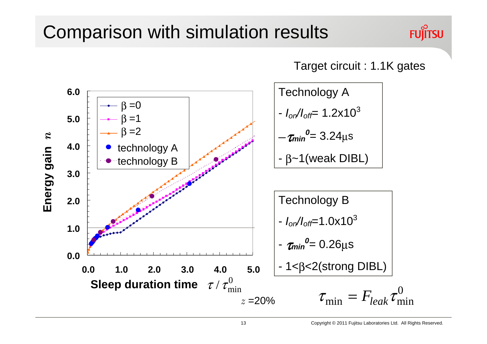#### Comparison with simulation results

#### **FUJITSU**



Target circuit : 1.1K gates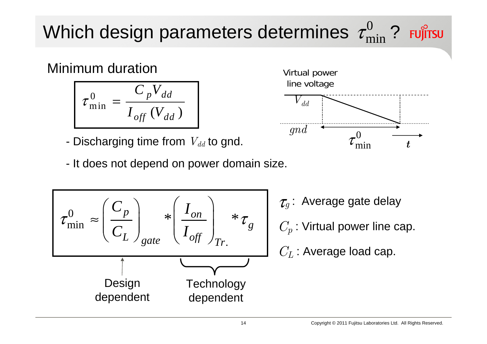## Which design parameters determines  $\,\tau_{\mathrm{min}}^0$  ?  $\,$

Minimum duration

$$
\tau_{\min}^0 = \frac{C_p V_{dd}}{I_{off}(V_{dd})}
$$

-Discharging time from  $V_{dd}$  to gnd.

- It does not depend on power domain size.





<sup>τ</sup>*<sup>g</sup>* : Average gate delay *C<sub>p</sub>* : Virtual power line cap.

 $C_L$  : Average load cap.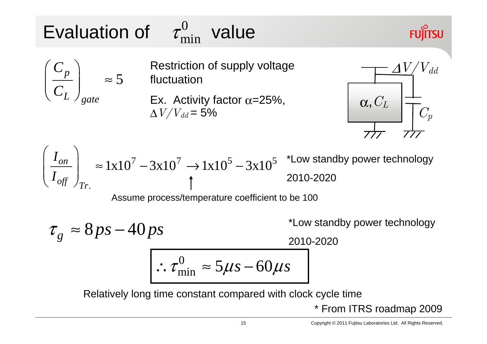#### Evaluation of  $\tau^0_{\min}$  value  $\tau_{\rm min}^0$

5

*p*

 $\left(\frac{C_p}{a}\right)$ 

*C*

*C*

*L gate*

#### **FUJITSU**

 $\left(\begin{array}{c}\frac{P}{C_L}\end{array}\right)_{oate} \approx 5$  fluctuation Restriction of supply voltage

Ex. Activity factor  $\alpha$ =25%,  $\Delta V/V_{dd}$  = 5%



$$
\left(\frac{I_{on}}{I_{off}}\right)_{Tr.} \approx 1 \times 10^7 - 3 \times 10^7 \rightarrow 1 \times 10^5 - 3 \times 10^5
$$
 \*Low standard by power technology  
2010-2020

Assume process/temperature coefficient to be 100

$$
\tau_g \approx 8 ps - 40 ps
$$
  
\n
$$
\frac{2010-2020}{\sqrt{100-2020}}
$$
  
\n
$$
\tau_{\text{min}}^0 \approx 5 \mu s - 60 \mu s
$$

Relatively long time constant compared with clock cycle time

\* From ITRS roadmap 2009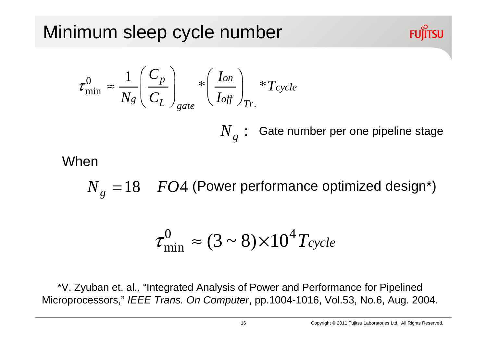$$
\tau_{\min}^0 \approx \frac{1}{N_g} \left( \frac{C_p}{C_L} \right)_{gate} * \left( \frac{I_{on}}{I_{off}} \right)_{Tr.} * T_{cycle}
$$

 $N$  , :  $g$  : Gate number per one pipeline stage

#### When

 $N_e = 18$   $FO4$  *g*  $= 18$   $FO4$  (Power performance optimized design\*)

$$
\tau_{\min}^0 \approx (3 \sim 8) \times 10^4 T_{cycle}
$$

\*V. Zyuban et. al., "Integrated Analysis of Power and Performance for Pipelined Microprocessors," *IEEE Trans. On Computer*, pp.1004-1016, Vol.53, No.6, Aug. 2004.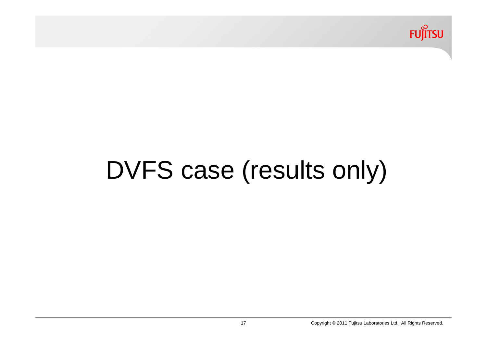

# DVFS case (results only)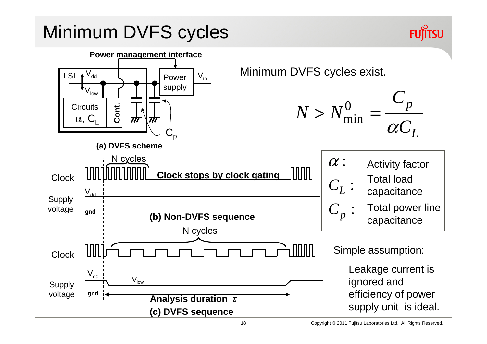#### Minimum DVFS cycles

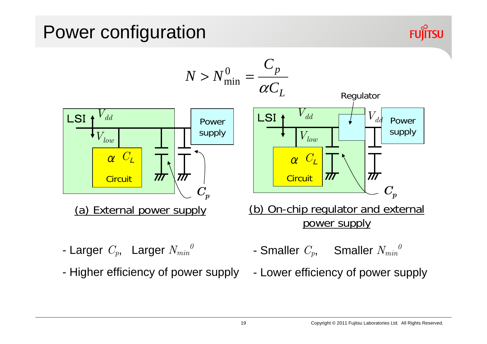#### Power configuration

![](_page_19_Picture_1.jpeg)

![](_page_19_Figure_2.jpeg)

- Larger *Cp*, Larger *Nmin 0*
- -Higher efficiency of power supply
- Smaller *Cp*, Smaller *Nmin 0*
- -Lower efficiency of power supply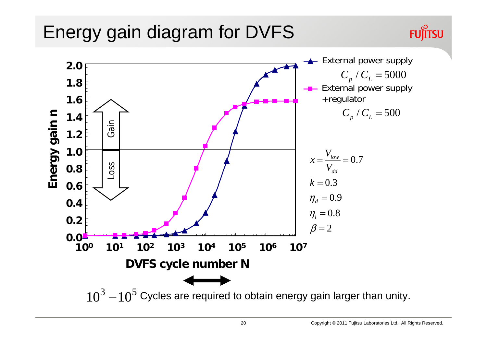#### Energy gain diagram for DVFS

![](_page_20_Figure_2.jpeg)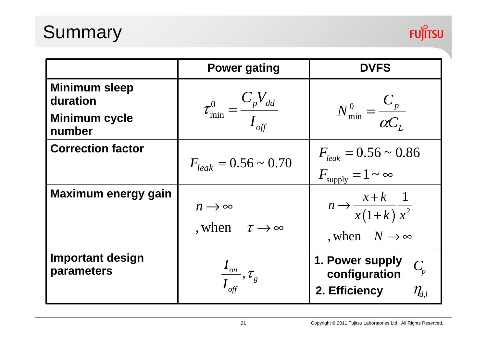## Summary

![](_page_21_Picture_1.jpeg)

|                                       | <b>Power gating</b>                                        | <b>DVFS</b>                                                                       |
|---------------------------------------|------------------------------------------------------------|-----------------------------------------------------------------------------------|
| <b>Minimum sleep</b><br>duration      |                                                            |                                                                                   |
| <b>Minimum cycle</b><br>number        | $\tau_{\min}^0 = \frac{C_p V_{dd}}{I_{off}}$               | $N_{\min}^0 = \frac{C_p}{\alpha C}$                                               |
| <b>Correction factor</b>              | $F_{leak} = 0.56 \sim 0.70$                                | $F_{leak} = 0.56 \sim 0.86$<br>$F_{\text{supply}} = 1 \sim \infty$                |
| <b>Maximum energy gain</b>            | $n \rightarrow \infty$<br>, when $\tau \rightarrow \infty$ | $n \rightarrow \frac{x+k}{x(1+k)} \frac{1}{x^2}$<br>, when $N \rightarrow \infty$ |
| <b>Important design</b><br>parameters | $\frac{I_{_{on}}}{I_{_{off}}},\tau_{_g}$                   | 1. Power supply<br>$C_p$<br>configuration<br>2. Efficiency<br>$\eta_{d,l}$        |